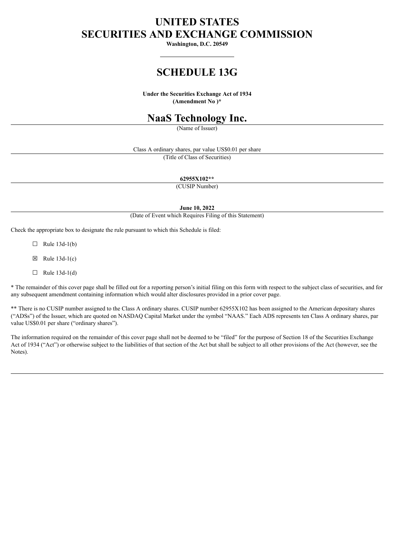# **UNITED STATES SECURITIES AND EXCHANGE COMMISSION**

**Washington, D.C. 20549**

## **SCHEDULE 13G**

**Under the Securities Exchange Act of 1934 (Amendment No )\***

## **NaaS Technology Inc.**

(Name of Issuer)

Class A ordinary shares, par value US\$0.01 per share

(Title of Class of Securities)

**62955X102\*\***

(CUSIP Number)

**June 10, 2022**

(Date of Event which Requires Filing of this Statement)

Check the appropriate box to designate the rule pursuant to which this Schedule is filed:

 $\Box$  Rule 13d-1(b)

 $\boxtimes$  Rule 13d-1(c)

 $\Box$  Rule 13d-1(d)

\* The remainder of this cover page shall be filled out for a reporting person's initial filing on this form with respect to the subject class of securities, and for any subsequent amendment containing information which would alter disclosures provided in a prior cover page.

\*\* There is no CUSIP number assigned to the Class A ordinary shares. CUSIP number 62955X102 has been assigned to the American depositary shares ("ADSs") of the Issuer, which are quoted on NASDAQ Capital Market under the symbol "NAAS." Each ADS represents ten Class A ordinary shares, par value US\$0.01 per share ("ordinary shares").

The information required on the remainder of this cover page shall not be deemed to be "filed" for the purpose of Section 18 of the Securities Exchange Act of 1934 ("Act") or otherwise subject to the liabilities of that section of the Act but shall be subject to all other provisions of the Act (however, see the Notes).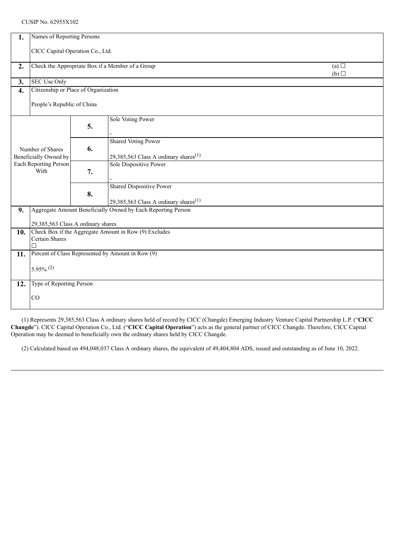#### CUSIP No. 62955X102

| 1.                                                                 | Names of Reporting Persons                                   |    |                                                                             |  |  |  |  |  |
|--------------------------------------------------------------------|--------------------------------------------------------------|----|-----------------------------------------------------------------------------|--|--|--|--|--|
|                                                                    |                                                              |    |                                                                             |  |  |  |  |  |
|                                                                    | CICC Capital Operation Co., Ltd.                             |    |                                                                             |  |  |  |  |  |
| 2.                                                                 | Check the Appropriate Box if a Member of a Group<br>(a)      |    |                                                                             |  |  |  |  |  |
|                                                                    |                                                              |    | (b)                                                                         |  |  |  |  |  |
| 3.                                                                 | SEC Use Only                                                 |    |                                                                             |  |  |  |  |  |
| 4.                                                                 | Citizenship or Place of Organization                         |    |                                                                             |  |  |  |  |  |
|                                                                    |                                                              |    |                                                                             |  |  |  |  |  |
|                                                                    | People's Republic of China                                   |    |                                                                             |  |  |  |  |  |
|                                                                    |                                                              |    | Sole Voting Power                                                           |  |  |  |  |  |
| Number of Shares<br>Beneficially Owned by<br>Each Reporting Person |                                                              | 5. |                                                                             |  |  |  |  |  |
|                                                                    |                                                              |    |                                                                             |  |  |  |  |  |
|                                                                    |                                                              | 6. | <b>Shared Voting Power</b>                                                  |  |  |  |  |  |
|                                                                    |                                                              |    |                                                                             |  |  |  |  |  |
|                                                                    |                                                              |    | 29,385,563 Class A ordinary shares <sup>(1)</sup><br>Sole Dispositive Power |  |  |  |  |  |
| With                                                               |                                                              | 7. |                                                                             |  |  |  |  |  |
|                                                                    |                                                              |    |                                                                             |  |  |  |  |  |
|                                                                    |                                                              | 8. | <b>Shared Dispositive Power</b>                                             |  |  |  |  |  |
|                                                                    |                                                              |    |                                                                             |  |  |  |  |  |
|                                                                    |                                                              |    | 29,385,563 Class A ordinary shares <sup>(1)</sup>                           |  |  |  |  |  |
| 9.                                                                 | Aggregate Amount Beneficially Owned by Each Reporting Person |    |                                                                             |  |  |  |  |  |
|                                                                    | 29,385,563 Class A ordinary shares                           |    |                                                                             |  |  |  |  |  |
| 10.                                                                | Check Box if the Aggregate Amount in Row (9) Excludes        |    |                                                                             |  |  |  |  |  |
|                                                                    | Certain Shares                                               |    |                                                                             |  |  |  |  |  |
|                                                                    |                                                              |    |                                                                             |  |  |  |  |  |
|                                                                    | 11. Percent of Class Represented by Amount in Row (9)        |    |                                                                             |  |  |  |  |  |
|                                                                    | $5.95\%$ <sup>(2)</sup>                                      |    |                                                                             |  |  |  |  |  |
|                                                                    |                                                              |    |                                                                             |  |  |  |  |  |
| 12.                                                                | Type of Reporting Person                                     |    |                                                                             |  |  |  |  |  |
|                                                                    |                                                              |    |                                                                             |  |  |  |  |  |
|                                                                    | CO                                                           |    |                                                                             |  |  |  |  |  |
|                                                                    |                                                              |    |                                                                             |  |  |  |  |  |

(1) Represents 29,385,563 Class A ordinary shares held of record by CICC (Changde) Emerging Industry Venture Capital Partnership L.P. ("**CICC Changde**"). CICC Capital Operation Co., Ltd. ("**CICC Capital Operation**") acts as the general partner of CICC Changde. Therefore, CICC Capital Operation may be deemed to beneficially own the ordinary shares held by CICC Changde.

(2) Calculated based on 494,048,037 Class A ordinary shares, the equivalent of 49,404,804 ADS, issued and outstanding as of June 10, 2022.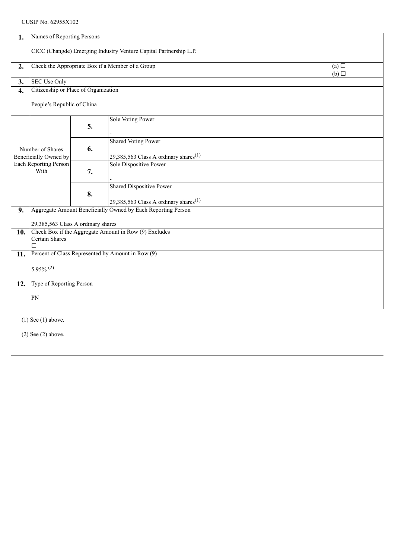## CUSIP No. 62955X102

| 1.                                                                         | Names of Reporting Persons                                                                  |    |                                                                                      |  |  |  |  |
|----------------------------------------------------------------------------|---------------------------------------------------------------------------------------------|----|--------------------------------------------------------------------------------------|--|--|--|--|
|                                                                            | CICC (Changde) Emerging Industry Venture Capital Partnership L.P.                           |    |                                                                                      |  |  |  |  |
| 2.                                                                         | Check the Appropriate Box if a Member of a Group<br>$\overline{(a)}$<br>(b)                 |    |                                                                                      |  |  |  |  |
| 3.                                                                         | <b>SEC Use Only</b>                                                                         |    |                                                                                      |  |  |  |  |
| $\boldsymbol{4}$ .                                                         | Citizenship or Place of Organization                                                        |    |                                                                                      |  |  |  |  |
|                                                                            | People's Republic of China                                                                  |    |                                                                                      |  |  |  |  |
| Number of Shares<br>Beneficially Owned by<br>Each Reporting Person<br>With |                                                                                             | 5. | <b>Sole Voting Power</b>                                                             |  |  |  |  |
|                                                                            |                                                                                             | 6. | <b>Shared Voting Power</b><br>29,385,563 Class A ordinary shares <sup>(1)</sup>      |  |  |  |  |
|                                                                            |                                                                                             | 7. | Sole Dispositive Power                                                               |  |  |  |  |
|                                                                            |                                                                                             | 8. | <b>Shared Dispositive Power</b><br>29,385,563 Class A ordinary shares <sup>(1)</sup> |  |  |  |  |
| 9.                                                                         | Aggregate Amount Beneficially Owned by Each Reporting Person                                |    |                                                                                      |  |  |  |  |
|                                                                            |                                                                                             |    |                                                                                      |  |  |  |  |
| 10.                                                                        | 29,385,563 Class A ordinary shares<br>Check Box if the Aggregate Amount in Row (9) Excludes |    |                                                                                      |  |  |  |  |
|                                                                            | Certain Shares<br>П                                                                         |    |                                                                                      |  |  |  |  |
| 11.                                                                        | Percent of Class Represented by Amount in Row (9)                                           |    |                                                                                      |  |  |  |  |
|                                                                            |                                                                                             |    |                                                                                      |  |  |  |  |
|                                                                            | $5.95\%$ <sup>(2)</sup>                                                                     |    |                                                                                      |  |  |  |  |
| 12.                                                                        | Type of Reporting Person                                                                    |    |                                                                                      |  |  |  |  |
|                                                                            | PN                                                                                          |    |                                                                                      |  |  |  |  |
|                                                                            |                                                                                             |    |                                                                                      |  |  |  |  |
|                                                                            |                                                                                             |    |                                                                                      |  |  |  |  |

(1) See (1) above.

(2) See (2) above.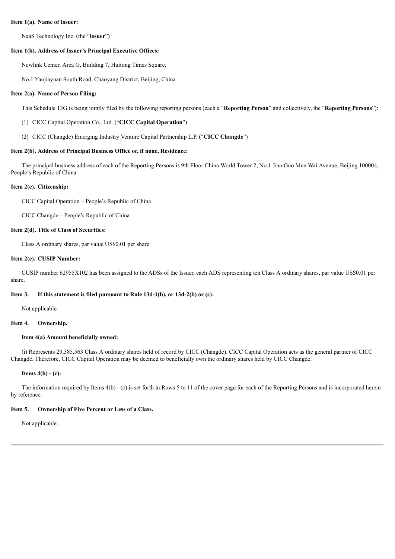#### **Item 1(a). Name of Issuer:**

NaaS Technology Inc. (the "**Issuer**")

#### **Item 1(b). Address of Issuer's Principal Executive Offices:**

Newlink Center, Area G, Building 7, Huitong Times Square,

No.1 Yaojiayuan South Road, Chaoyang District, Beijing, China

#### **Item 2(a). Name of Person Filing:**

This Schedule 13G is being jointly filed by the following reporting persons (each a "**Reporting Person**" and collectively, the "**Reporting Persons**"):

- (1) CICC Capital Operation Co., Ltd. ("**CICC Capital Operation**")
- (2) CICC (Changde) Emerging Industry Venture Capital Partnership L.P. ("**CICC Changde**")

#### **Item 2(b). Address of Principal Business Office or, if none, Residence:**

The principal business address of each of the Reporting Persons is 9th Floor China World Tower 2, No.1 Jian Guo Men Wai Avenue, Beijing 100004, People's Republic of China.

#### **Item 2(c). Citizenship:**

CICC Capital Operation – People's Republic of China

CICC Changde – People's Republic of China

#### **Item 2(d). Title of Class of Securities:**

Class A ordinary shares, par value US\$0.01 per share

#### **Item 2(e). CUSIP Number:**

CUSIP number 62955X102 has been assigned to the ADSs of the Issuer, each ADS representing ten Class A ordinary shares, par value US\$0.01 per share.

#### **Item 3. If this statement is filed pursuant to Rule 13d-1(b), or 13d-2(b) or (c):**

Not applicable.

#### **Item 4. Ownership.**

#### **Item 4(a) Amount beneficially owned:**

(i) Represents 29,385,563 Class A ordinary shares held of record by CICC (Changde). CICC Capital Operation acts as the general partner of CICC Changde. Therefore, CICC Capital Operation may be deemed to beneficially own the ordinary shares held by CICC Changde.

## **Items 4(b) - (c):**

The information required by Items 4(b) - (c) is set forth in Rows 5 to 11 of the cover page for each of the Reporting Persons and is incorporated herein by reference.

#### **Item 5. Ownership of Five Percent or Less of a Class.**

Not applicable.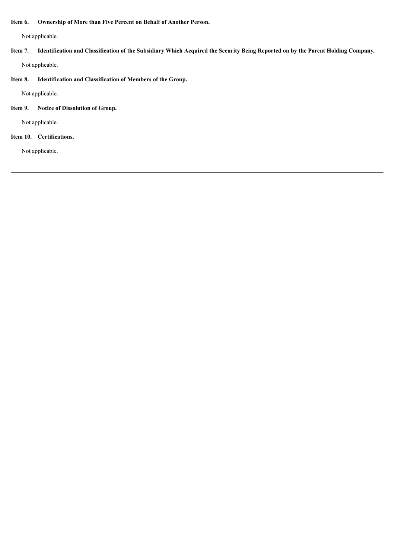## **Item 6. Ownership of More than Five Percent on Behalf of Another Person.**

Not applicable.

- Item 7. Identification and Classification of the Subsidiary Which Acquired the Security Being Reported on by the Parent Holding Company. Not applicable.
- **Item 8. Identification and Classification of Members of the Group.**

Not applicable.

**Item 9. Notice of Dissolution of Group.**

Not applicable.

## **Item 10. Certifications.**

Not applicable.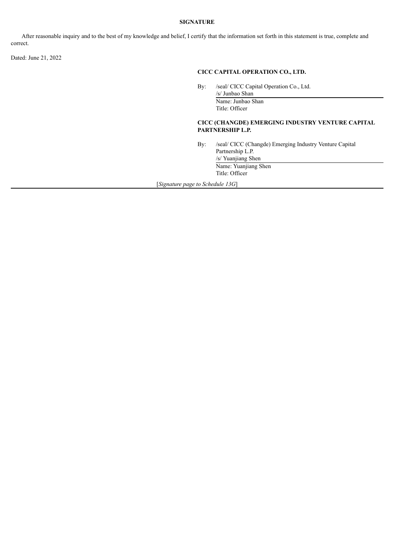## **SIGNATURE**

After reasonable inquiry and to the best of my knowledge and belief, I certify that the information set forth in this statement is true, complete and correct.

Dated: June 21, 2022

## **CICC CAPITAL OPERATION CO., LTD.**

By: /seal/ CICC Capital Operation Co., Ltd.

/s/ Junbao Shan Name: Junbao Shan Title: Officer

#### **CICC (CHANGDE) EMERGING INDUSTRY VENTURE CAPITAL PARTNERSHIP L.P.**

By: /seal/ CICC (Changde) Emerging Industry Venture Capital Partnership L.P. /s/ Yuanjiang Shen

Name: Yuanjiang Shen Title: Officer

[*Signature page to Schedule 13G*]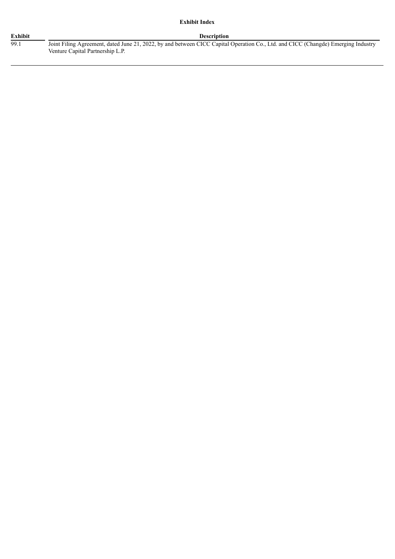## **Exhibit Index**

#### **Exhibit Description**

99.1 Joint Filing Agreement, dated June 21, 2022, by and between CICC Capital Operation Co., Ltd. and CICC (Changde) Emerging Industry Venture Capital Partnership L.P.